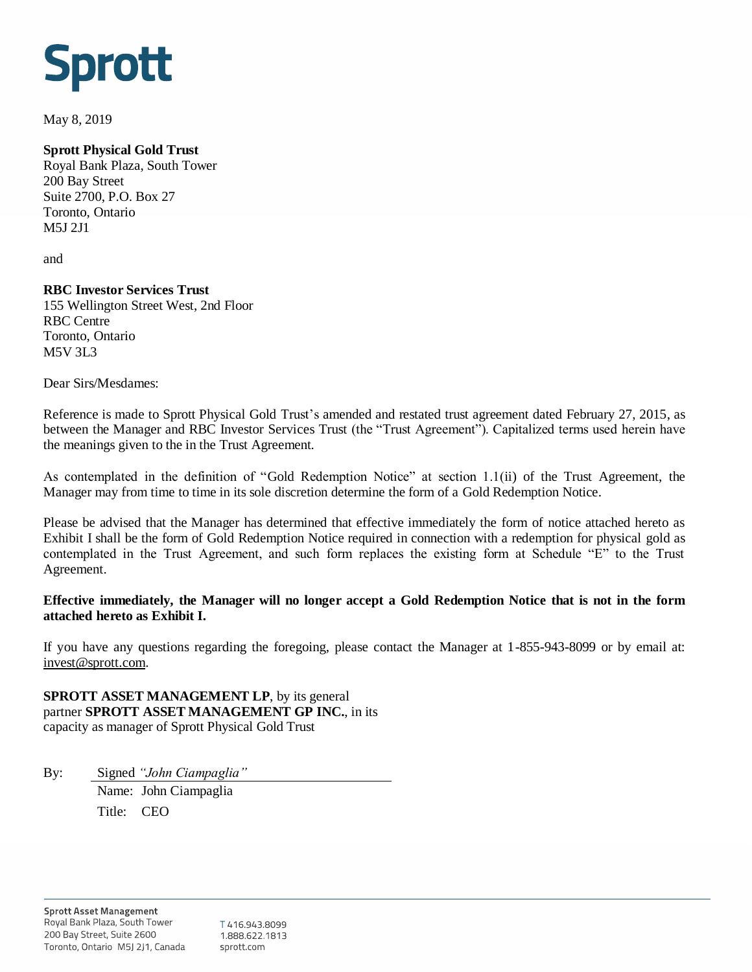# **Sprott**

May 8, 2019

# **Sprott Physical Gold Trust**

Royal Bank Plaza, South Tower 200 Bay Street Suite 2700, P.O. Box 27 Toronto, Ontario M5J 2J1

and

## **RBC Investor Services Trust**

155 Wellington Street West, 2nd Floor RBC Centre Toronto, Ontario M5V 3L3

Dear Sirs/Mesdames:

Reference is made to Sprott Physical Gold Trust's amended and restated trust agreement dated February 27, 2015, as between the Manager and RBC Investor Services Trust (the "Trust Agreement"). Capitalized terms used herein have the meanings given to the in the Trust Agreement.

As contemplated in the definition of "Gold Redemption Notice" at section 1.1(ii) of the Trust Agreement, the Manager may from time to time in its sole discretion determine the form of a Gold Redemption Notice.

Please be advised that the Manager has determined that effective immediately the form of notice attached hereto as Exhibit I shall be the form of Gold Redemption Notice required in connection with a redemption for physical gold as contemplated in the Trust Agreement, and such form replaces the existing form at Schedule "E" to the Trust Agreement.

## **Effective immediately, the Manager will no longer accept a Gold Redemption Notice that is not in the form attached hereto as Exhibit I.**

If you have any questions regarding the foregoing, please contact the Manager at 1-855-943-8099 or by email at: [invest@sprott.com.](mailto:invest@sprott.com)

**SPROTT ASSET MANAGEMENT LP**, by its general partner **SPROTT ASSET MANAGEMENT GP INC.**, in its capacity as manager of Sprott Physical Gold Trust

By: Signed *"John Ciampaglia"* Name: John Ciampaglia Title: CEO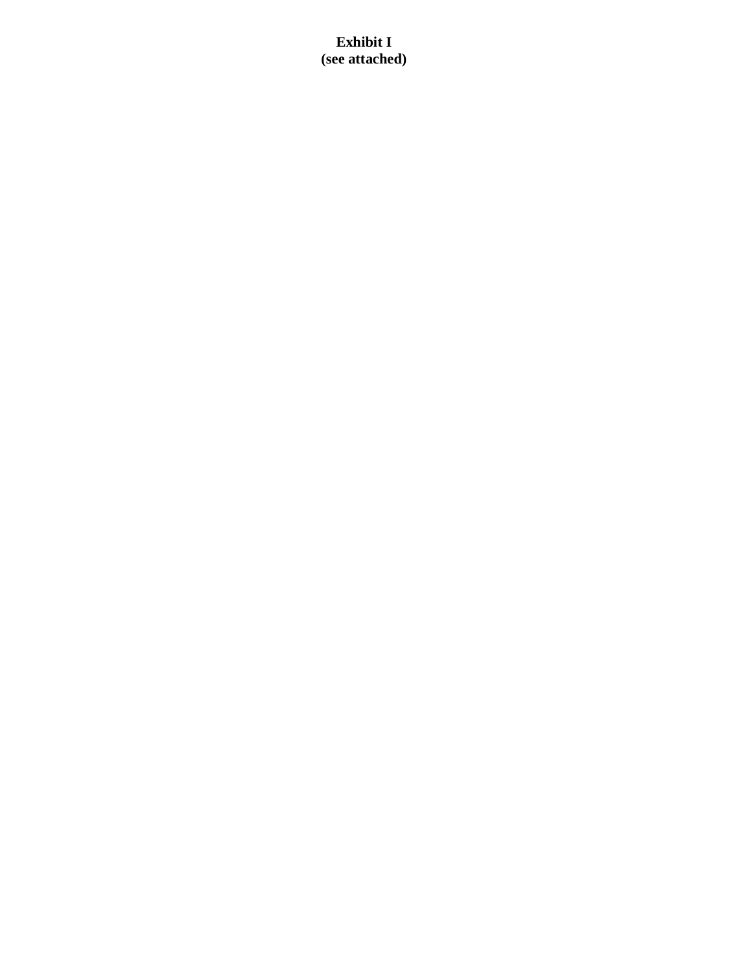# **Exhibit I (see attached)**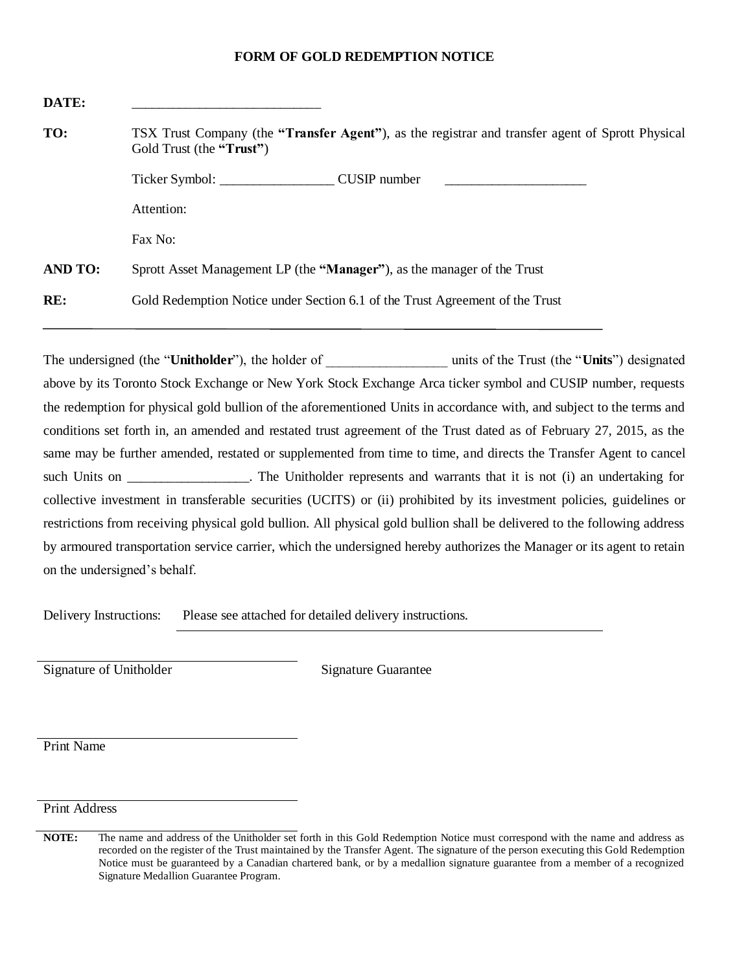## **FORM OF GOLD REDEMPTION NOTICE**

| DATE:          |                                                                                                                                       |  |
|----------------|---------------------------------------------------------------------------------------------------------------------------------------|--|
| TO:            | TSX Trust Company (the " <b>Transfer Agent</b> "), as the registrar and transfer agent of Sprott Physical<br>Gold Trust (the "Trust") |  |
|                | CUSIP number<br><u> 1980 - Jan Barnett, mars et al. (</u>                                                                             |  |
|                | Attention:                                                                                                                            |  |
|                | Fax No:                                                                                                                               |  |
| <b>AND TO:</b> | Sprott Asset Management LP (the "Manager"), as the manager of the Trust                                                               |  |
| RE:            | Gold Redemption Notice under Section 6.1 of the Trust Agreement of the Trust                                                          |  |

The undersigned (the "**Unitholder**"), the holder of units of the Trust (the "**Units**") designated above by its Toronto Stock Exchange or New York Stock Exchange Arca ticker symbol and CUSIP number, requests the redemption for physical gold bullion of the aforementioned Units in accordance with, and subject to the terms and conditions set forth in, an amended and restated trust agreement of the Trust dated as of February 27, 2015, as the same may be further amended, restated or supplemented from time to time, and directs the Transfer Agent to cancel such Units on \_\_\_\_\_\_\_\_\_\_\_\_\_\_\_. The Unitholder represents and warrants that it is not (i) an undertaking for collective investment in transferable securities (UCITS) or (ii) prohibited by its investment policies, guidelines or restrictions from receiving physical gold bullion. All physical gold bullion shall be delivered to the following address by armoured transportation service carrier, which the undersigned hereby authorizes the Manager or its agent to retain on the undersigned's behalf.

Delivery Instructions: Please see attached for detailed delivery instructions.

Signature of Unitholder Signature Guarantee

Print Name

Print Address

**NOTE:** The name and address of the Unitholder set forth in this Gold Redemption Notice must correspond with the name and address as recorded on the register of the Trust maintained by the Transfer Agent. The signature of the person executing this Gold Redemption Notice must be guaranteed by a Canadian chartered bank, or by a medallion signature guarantee from a member of a recognized Signature Medallion Guarantee Program.